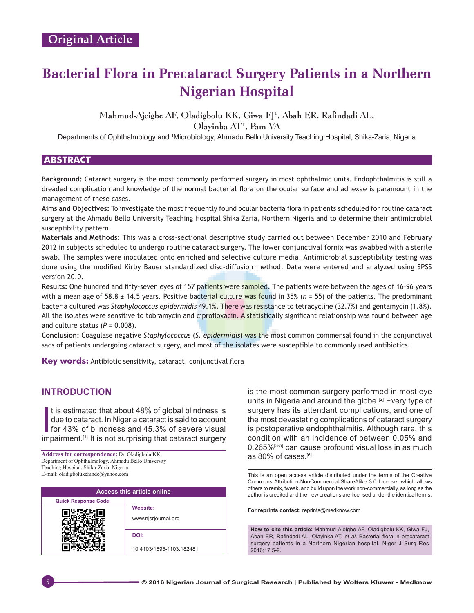# **Bacterial Flora in Precataract Surgery Patients in a Northern Nigerian Hospital**

## Mahmud-Ajeigbe AF, Oladigbolu KK, Giwa FJ<sup>1</sup>, Abah ER, Rafindadi AL,

Olayinka AT1 , Pam VA

Departments of Ophthalmology and 1 Microbiology, Ahmadu Bello University Teaching Hospital, Shika‑Zaria, Nigeria

## **ABSTRACT**

**Background:** Cataract surgery is the most commonly performed surgery in most ophthalmic units. Endophthalmitis is still a dreaded complication and knowledge of the normal bacterial flora on the ocular surface and adnexae is paramount in the management of these cases.

**Aims and Objectives:** To investigate the most frequently found ocular bacteria flora in patients scheduled for routine cataract surgery at the Ahmadu Bello University Teaching Hospital Shika Zaria, Northern Nigeria and to determine their antimicrobial susceptibility pattern.

**Materials and Methods:** This was a cross‑sectional descriptive study carried out between December 2010 and February 2012 in subjects scheduled to undergo routine cataract surgery. The lower conjunctival fornix was swabbed with a sterile swab. The samples were inoculated onto enriched and selective culture media. Antimicrobial susceptibility testing was done using the modified Kirby Bauer standardized disc-diffusion method. Data were entered and analyzed using SPSS version 20.0.

**Results:** One hundred and fifty‑seven eyes of 157 patients were sampled. The patients were between the ages of 16–96 years with a mean age of 58.8 ± 14.5 years. Positive bacterial culture was found in 35% (*n* = 55) of the patients. The predominant bacteria cultured was *Staphylococcus epidermidis* 49.1%. There was resistance to tetracycline (32.7%) and gentamycin (1.8%). All the isolates were sensitive to tobramycin and ciprofloxacin. A statistically significant relationship was found between age and culture status  $(P = 0.008)$ .

**Conclusion:** Coagulase negative *Staphylococcus* (*S. epidermidis*) was the most common commensal found in the conjunctival sacs of patients undergoing cataract surgery, and most of the isolates were susceptible to commonly used antibiotics.

**Key words:** Antibiotic sensitivity, cataract, conjunctival flora

## **INTRODUCTION**

It is estimated that about 48% of global blindness is<br>due to cataract. In Nigeria cataract is said to account<br>for 43% of blindness and 45.3% of severe visual<br>impairment.<sup>[1]</sup> It is not surprising that cataract surgery t is estimated that about 48% of global blindness is due to cataract. In Nigeria cataract is said to account for 43% of blindness and 45.3% of severe visual

**Address for correspondence:** Dr. Oladigbolu KK, Department of Ophthalmology, Ahmadu Bello University Teaching Hospital, Shika‑Zaria, Nigeria. E‑mail: oladigbolukehinde@yahoo.com

| <b>Access this article online</b> |                                 |  |
|-----------------------------------|---------------------------------|--|
| <b>Quick Response Code:</b>       |                                 |  |
|                                   | Website:<br>www.njsrjournal.org |  |
|                                   | DOI:                            |  |
|                                   | 10.4103/1595-1103.182481        |  |

is the most common surgery performed in most eye units in Nigeria and around the globe.<sup>[2]</sup> Every type of surgery has its attendant complications, and one of the most devastating complications of cataract surgery is postoperative endophthalmitis. Although rare, this condition with an incidence of between 0.05% and 0.265%<sup>[3-5]</sup> can cause profound visual loss in as much as 80% of cases.[6]

This is an open access article distributed under the terms of the Creative Commons Attribution-NonCommercial-ShareAlike 3.0 License, which allows others to remix, tweak, and build upon the work non-commercially, as long as the author is credited and the new creations are licensed under the identical terms.

**For reprints contact:** reprints@medknow.com

**How to cite this article:** Mahmud-Ajeigbe AF, Oladigbolu KK, Giwa FJ, Abah ER, Rafindadi AL, Olayinka AT, *et al*. Bacterial flora in precataract surgery patients in a Northern Nigerian hospital. Niger J Surg Res 2016;17:5-9.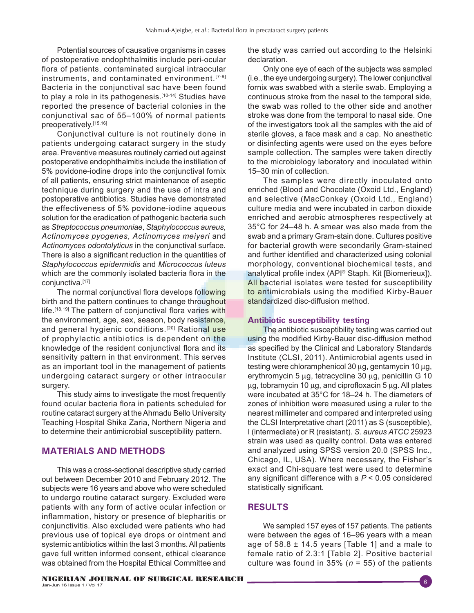Potential sources of causative organisms in cases of postoperative endophthalmitis include peri-ocular flora of patients, contaminated surgical intraocular instruments, and contaminated environment.<sup>[7-9]</sup> Bacteria in the conjunctival sac have been found to play a role in its pathogenesis.<sup>[10-14]</sup> Studies have reported the presence of bacterial colonies in the conjunctival sac of 55–100% of normal patients preoperatively.[15,16]

Conjunctival culture is not routinely done in patients undergoing cataract surgery in the study area. Preventive measures routinely carried out against postoperative endophthalmitis include the instillation of 5% povidone-iodine drops into the conjunctival fornix of all patients, ensuring strict maintenance of aseptic technique during surgery and the use of intra and postoperative antibiotics. Studies have demonstrated the effectiveness of 5% povidone-iodine aqueous solution for the eradication of pathogenic bacteria such as *Streptococcus pneumoniae*, *Staphylococcus aureus*, *Actinomyces pyogenes*, *Actinomyces meiyeri* and *Actinomyces odontolyticus* in the conjunctival surface. There is also a significant reduction in the quantities of *Staphylococcus epidermidis* and *Micrococcus luteus* which are the commonly isolated bacteria flora in the conjunctiva.<sup>[17]</sup>

The normal conjunctival flora develops following birth and the pattern continues to change throughout life.<sup>[18,19]</sup> The pattern of conjunctival flora varies with the environment, age, sex, season, body resistance, and general hygienic conditions.<sup>[20]</sup> Rational use of prophylactic antibiotics is dependent on the knowledge of the resident conjunctival flora and its sensitivity pattern in that environment. This serves as an important tool in the management of patients undergoing cataract surgery or other intraocular surgery.

This study aims to investigate the most frequently found ocular bacteria flora in patients scheduled for routine cataract surgery at the Ahmadu Bello University Teaching Hospital Shika Zaria, Northern Nigeria and to determine their antimicrobial susceptibility pattern.

## **MATERIALS AND METHODS**

This was a cross-sectional descriptive study carried out between December 2010 and February 2012. The subjects were 16 years and above who were scheduled to undergo routine cataract surgery. Excluded were patients with any form of active ocular infection or inflammation, history or presence of blepharitis or conjunctivitis. Also excluded were patients who had previous use of topical eye drops or ointment and systemic antibiotics within the last 3 months. All patients gave full written informed consent, ethical clearance was obtained from the Hospital Ethical Committee and

Only one eye of each of the subjects was sampled (i.e., the eye undergoing surgery). The lower conjunctival fornix was swabbed with a sterile swab. Employing a continuous stroke from the nasal to the temporal side, the swab was rolled to the other side and another stroke was done from the temporal to nasal side. One of the investigators took all the samples with the aid of sterile gloves, a face mask and a cap. No anesthetic or disinfecting agents were used on the eyes before sample collection. The samples were taken directly to the microbiology laboratory and inoculated within 15–30 min of collection.

The samples were directly inoculated onto enriched (Blood and Chocolate (Oxoid Ltd., England) and selective (MacConkey (Oxoid Ltd., England) culture media and were incubated in carbon dioxide enriched and aerobic atmospheres respectively at 35°C for 24–48 h. A smear was also made from the swab and a primary Gram-stain done. Cultures positive for bacterial growth were secondarily Gram-stained and further identified and characterized using colonial morphology, conventional biochemical tests, and analytical profile index (API® Staph. Kit [Biomerieux]). All bacterial isolates were tested for susceptibility to antimicrobials using the modified Kirby-Bauer standardized disc-diffusion method.

## **Antibiotic susceptibility testing**

The antibiotic susceptibility testing was carried out using the modified Kirby‑Bauer disc‑diffusion method as specified by the Clinical and Laboratory Standards Institute (CLSI, 2011). Antimicrobial agents used in testing were chloramphenicol 30 µg, gentamycin 10 µg, erythromycin 5 µg, tetracycline 30 µg, penicillin G 10 µg, tobramycin 10 µg, and ciprofloxacin 5 µg. All plates were incubated at 35°C for 18–24 h. The diameters of zones of inhibition were measured using a ruler to the nearest millimeter and compared and interpreted using the CLSI Interpretative chart (2011) as S (susceptible), I (intermediate) or R (resistant). *S. aureus ATCC* 25923 strain was used as quality control. Data was entered and analyzed using SPSS version 20.0 (SPSS Inc., Chicago, IL, USA). Where necessary, the Fisher's exact and Chi-square test were used to determine any significant difference with a *P* < 0.05 considered statistically significant.

## **RESULTS**

We sampled 157 eyes of 157 patients. The patients were between the ages of 16–96 years with a mean age of  $58.8 \pm 14.5$  years [Table 1] and a male to female ratio of 2.3:1 [Table 2]. Positive bacterial culture was found in  $35\%$  ( $n = 55$ ) of the patients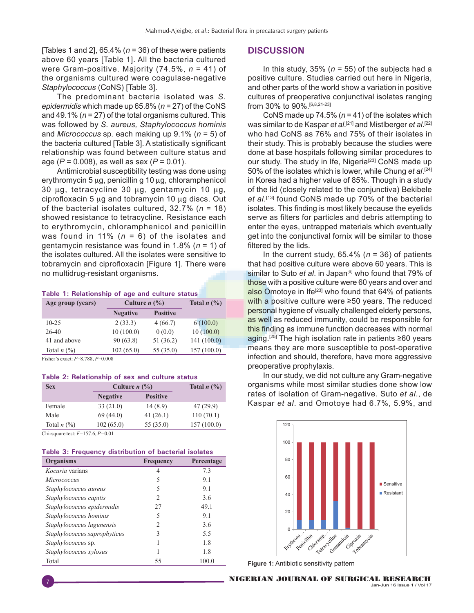[Tables 1 and 2], 65.4% (*n* = 36) of these were patients above 60 years [Table 1]. All the bacteria cultured were Gram-positive. Majority (74.5%, *n* = 41) of the organisms cultured were coagulase-negative *Staphylococcus* (CoNS) [Table 3].

The predominant bacteria isolated was *S. epidermidis* which made up 65.8% (*n* = 27) of the CoNS and 49.1% (*n* = 27) of the total organisms cultured. This was followed by *S. aureus, Staphylococcus hominis* and *Micrococcus* sp*.* each making up 9.1% (*n* = 5) of the bacteria cultured [Table 3]. A statistically significant relationship was found between culture status and age (*P* = 0.008), as well as sex (*P* = 0.01).

Antimicrobial susceptibility testing was done using erythromycin 5 µg, penicillin g 10 µg, chloramphenicol 30 µg, tetracycline 30 µg, gentamycin 10 µg, ciprofloxacin 5 µg and tobramycin 10 µg discs. Out of the bacterial isolates cultured, 32.7% (*n* = 18) showed resistance to tetracycline. Resistance each to erythromycin, chloramphenicol and penicillin was found in 11% (*n* = 6) of the isolates and gentamycin resistance was found in 1.8% (*n* = 1) of the isolates cultured. All the isolates were sensitive to tobramycin and ciprofloxacin [Figure 1]. There were no multidrug-resistant organisms.

#### **Table 1: Relationship of age and culture status**

| Age group (years) | Culture $n$ $\left(\frac{0}{0}\right)$ |                 | Total $n$ $\left(\frac{9}{6}\right)$ |
|-------------------|----------------------------------------|-----------------|--------------------------------------|
|                   | <b>Negative</b>                        | <b>Positive</b> |                                      |
| $10 - 25$         | 2(33.3)                                | 4(66.7)         | 6(100.0)                             |
| $26-40$           | 10(100.0)                              | 0(0.0)          | 10(100.0)                            |
| 41 and above      | 90(63.8)                               | 51 (36.2)       | 141(100.0)                           |
| Total $n$ $(\%)$  | 102(65.0)                              | 55 (35.0)       | 157(100.0)                           |

Fisher's exact: *F*=8.788, *P*=0.008

#### **Table 2: Relationship of sex and culture status**

| <b>Sex</b>       | Culture $n$ $\left(\frac{0}{0}\right)$ |                 | Total $n$ $\left(\frac{9}{6}\right)$ |
|------------------|----------------------------------------|-----------------|--------------------------------------|
|                  | <b>Negative</b>                        | <b>Positive</b> |                                      |
| Female           | 33(21.0)                               | 14(8.9)         | 47(29.9)                             |
| Male             | 69(44.0)                               | 41(26.1)        | 110(70.1)                            |
| Total $n$ $(\%)$ | 102(65.0)                              | 55 (35.0)       | 157(100.0)                           |

Chi‑square test: *F*=157.6, *P=*0.01

| Table 3: Frequency distribution of bacterial isolates |  |  |
|-------------------------------------------------------|--|--|
|-------------------------------------------------------|--|--|

| Organisms                    | Frequency     | Percentage |
|------------------------------|---------------|------------|
| <i>Kocuria</i> varians       | 4             | 7.3        |
| Micrococcus                  | 5             | 9.1        |
| Staphylococcus aureus        | 5             | 9.1        |
| Staphylococcus capitis       | $\mathcal{P}$ | 3.6        |
| Staphylococcus epidermidis   | 27            | 49.1       |
| Staphylococcus hominis       | 5             | 91         |
| Staphylococcus lugunensis    | 2             | 3.6        |
| Staphylococcus saprophyticus | 3             | 5.5        |
| <i>Staphylococcus sp.</i>    |               | 1.8        |
| Staphylococcus xylosus       |               | 1.8        |
| Total                        | 55            | 100.0      |

#### **DISCUSSION**

In this study, 35% (*n* = 55) of the subjects had a positive culture. Studies carried out here in Nigeria, and other parts of the world show a variation in positive cultures of preoperative conjunctival isolates ranging from 30% to 90%.[6,8,21-23]

CoNS made up 74.5% ( $n = 41$ ) of the isolates which was similar to de Kaspar *et al*. [21] and Mistlberger *et al*. [22] who had CoNS as 76% and 75% of their isolates in their study. This is probably because the studies were done at base hospitals following similar procedures to our study. The study in Ife, Nigeria<sup>[23]</sup> CoNS made up 50% of the isolates which is lower, while Chung *et al*. [24] in Korea had a higher value of 85%. Though in a study of the lid (closely related to the conjunctiva) Bekibele *et al*. [13] found CoNS made up 70% of the bacterial isolates. This finding is most likely because the eyelids serve as filters for particles and debris attempting to enter the eyes, untrapped materials which eventually get into the conjunctival fornix will be similar to those filtered by the lids.

In the current study,  $65.4\%$  ( $n = 36$ ) of patients that had positive culture were above 60 years. This is similar to Suto *et al.* in Japan<sup>[6]</sup> who found that 79% of those with a positive culture were 60 years and over and also Omotoye in Ife<sup>[23]</sup> who found that  $64%$  of patients with a positive culture were ≥50 years. The reduced personal hygiene of visually challenged elderly persons, as well as reduced immunity, could be responsible for this finding as immune function decreases with normal aging.<sup>[25]</sup> The high isolation rate in patients ≥60 years means they are more susceptible to post-operative infection and should, therefore, have more aggressive preoperative prophylaxis.

In our study, we did not culture any Gram-negative organisms while most similar studies done show low rates of isolation of Gram-negative. Suto *et al*., de Kaspar *et al*. and Omotoye had 6.7%, 5.9%, and



**Figure 1:** Antibiotic sensitivity pattern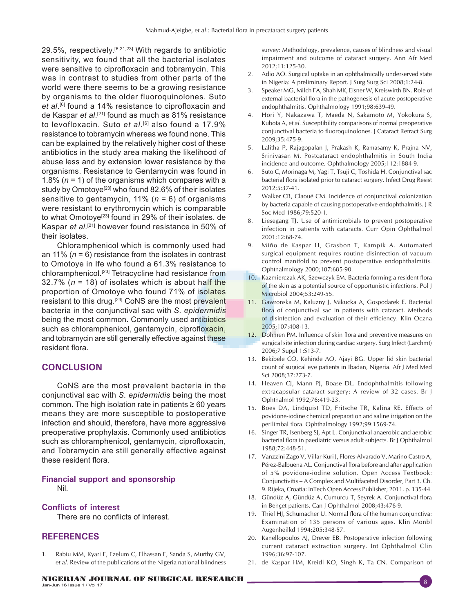29.5%, respectively.<sup>[6,21,23]</sup> With regards to antibiotic sensitivity, we found that all the bacterial isolates were sensitive to ciprofloxacin and tobramycin. This was in contrast to studies from other parts of the world were there seems to be a growing resistance by organisms to the older fluoroquinolones. Suto *et al*. [6] found a 14% resistance to ciprofloxacin and de Kaspar *et al*. [21] found as much as 81% resistance to levofloxacin. Suto *et al*.[6] also found a 17.9% resistance to tobramycin whereas we found none. This can be explained by the relatively higher cost of these antibiotics in the study area making the likelihood of abuse less and by extension lower resistance by the organisms. Resistance to Gentamycin was found in 1.8% (*n* = 1) of the organisms which compares with a study by Omotoye<sup>[23]</sup> who found 82.6% of their isolates sensitive to gentamycin, 11% (*n* = 6) of organisms were resistant to erythromycin which is comparable to what Omotoye<sup>[23]</sup> found in 29% of their isolates. de Kaspar *et al*. [21] however found resistance in 50% of their isolates.

Chloramphenicol which is commonly used had an 11% (*n* = 6) resistance from the isolates in contrast to Omotoye in Ife who found a 61.3% resistance to chloramphenicol.[23] Tetracycline had resistance from 32.7% (*n* = 18) of isolates which is about half the proportion of Omotoye who found 71% of isolates resistant to this drug.<sup>[23]</sup> CoNS are the most prevalent bacteria in the conjunctival sac with *S. epidermidis* being the most common. Commonly used antibiotics such as chloramphenicol, gentamycin, ciprofloxacin, and tobramycin are still generally effective against these resident flora.

## **CONCLUSION**

CoNS are the most prevalent bacteria in the conjunctival sac with *S. epidermidis* being the most common. The high isolation rate in patients  $\geq 60$  years means they are more susceptible to postoperative infection and should, therefore, have more aggressive preoperative prophylaxis. Commonly used antibiotics such as chloramphenicol, gentamycin, ciprofloxacin, and Tobramycin are still generally effective against these resident flora.

#### **Financial support and sponsorship** Nil.

## **Conflicts of interest**

There are no conflicts of interest.

## **REFERENCES**

1. Rabiu MM, Kyari F, Ezelum C, Elhassan E, Sanda S, Murthy GV, *et al.* Review of the publications of the Nigeria national blindness

survey: Methodology, prevalence, causes of blindness and visual impairment and outcome of cataract surgery. Ann Afr Med 2012;11:125‑30.

- 2. Adio AO. Surgical uptake in an ophthalmically underserved state in Nigeria: A preliminary Report. J Surg Surg Sci 2008;1:24‑8.
- 3. Speaker MG, Milch FA, Shah MK, Eisner W, Kreiswirth BN. Role of external bacterial flora in the pathogenesis of acute postoperative endophthalmitis. Ophthalmology 1991;98:639‑49.
- 4. Hori Y, Nakazawa T, Maeda N, Sakamoto M, Yokokura S, Kubota A, *et al.* Susceptibility comparisons of normal preoperative conjunctival bacteria to fluoroquinolones. J Cataract Refract Surg 2009;35:475‑9.
- 5. Lalitha P, Rajagopalan J, Prakash K, Ramasamy K, Prajna NV, Srinivasan M. Postcataract endophthalmitis in South India incidence and outcome. Ophthalmology 2005;112:1884-9.
- 6. Suto C, Morinaga M, Yagi T, Tsuji C, Toshida H. Conjunctival sac bacterial flora isolated prior to cataract surgery. Infect Drug Resist 2012;5:37‑41.
- *7.* Walker CB, Claoué CM. Incidence of conjunctival colonization by bacteria capable of causing postoperative endophthalmitis. J R Soc Med 1986;79:520‑1.
- 8. Liesegang TJ. Use of antimicrobials to prevent postoperative infection in patients with cataracts. Curr Opin Ophthalmol 2001;12:68‑74.
- 9. Miño de Kaspar H, Grasbon T, Kampik A. Automated surgical equipment requires routine disinfection of vacuum control manifold to prevent postoperative endophthalmitis. Ophthalmology 2000;107:685‑90.
- 10. Kazmierczak AK, Szewczyk EM. Bacteria forming a resident flora of the skin as a potential source of opportunistic infections. Pol J Microbiol 2004;53:249-55.
- 11. Gawronska M, Kaluzny J, Mikucka A, Gospodarek E. Bacterial flora of conjunctival sac in patients with cataract. Methods of disinfection and evaluation of their efficiency. Klin Oczna 2005;107:408‑13.
- 12. Dohmen PM. Influence of skin flora and preventive measures on surgical site infection during cardiac surgery. Surg Infect (Larchmt) 2006;7 Suppl 1:S13‑7.
- 13. Bekibele CO, Kehinde AO, Ajayi BG. Upper lid skin bacterial count of surgical eye patients in Ibadan, Nigeria. Afr J Med Med Sci 2008;37:273‑7.
- 14. Heaven CJ, Mann PJ, Boase DL. Endophthalmitis following extracapsular cataract surgery: A review of 32 cases. Br J Ophthalmol 1992;76:419‑23.
- 15. Boes DA, Lindquist TD, Fritsche TR, Kalina RE. Effects of povidone‑iodine chemical preparation and saline irrigation on the perilimbal flora. Ophthalmology 1992;99:1569-74.
- 16. Singer TR, Isenberg SJ, Apt L. Conjunctival anaerobic and aerobic bacterial flora in paediatric versus adult subjects. Br J Ophthalmol 1988;72:448‑51.
- 17. Vanzzini Zago V, Villar-Kuri J, Flores-Alvarado V, Marino Castro A, Pérez-Balbuena AL. Conjunctival flora before and after application of 5% povidone-iodine solution. Open Access Textbook: Conjunctivitis – A Complex and Multifaceted Disorder, Part 3. Ch. 9. Rijeka, Croatia: InTech Open Access Publisher; 2011. p. 135-44.
- 18. Gündüz A, Gündüz A, Cumurcu T, Seyrek A. Conjunctival flora in Behçet patients. Can J Ophthalmol 2008;43:476‑9.
- 19. Thiel HJ, Schumacher U. Normal flora of the human conjunctiva: Examination of 135 persons of various ages. Klin Monbl Augenheilkd 1994;205:348‑57.
- 20. Kanellopoulos AJ, Dreyer EB. Postoperative infection following current cataract extraction surgery. Int Ophthalmol Clin 1996;36:97‑107.
- 21. de Kaspar HM, Kreidl KO, Singh K, Ta CN. Comparison of